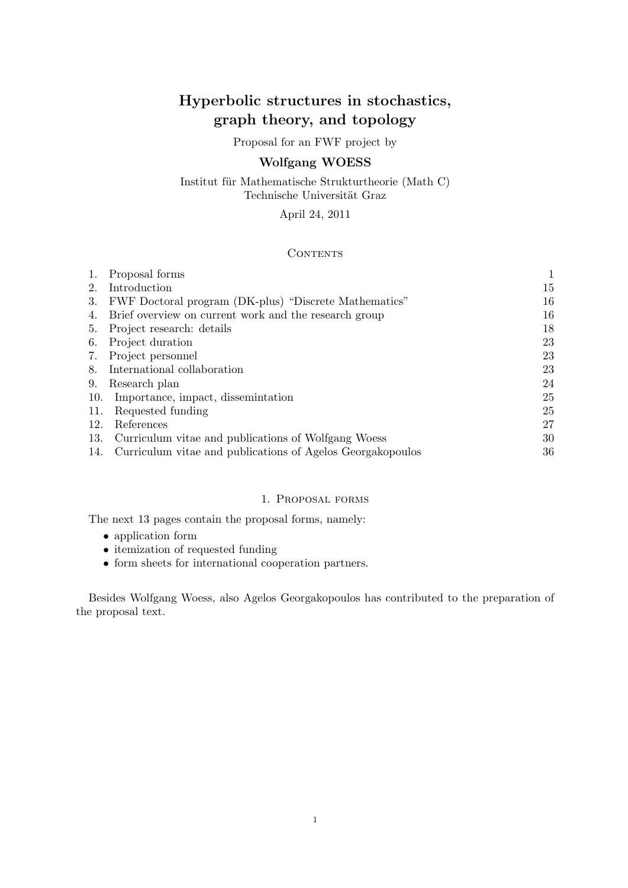# Hyperbolic structures in stochastics, graph theory, and topology

Proposal for an FWF project by

# Wolfgang WOESS

Institut für Mathematische Strukturtheorie (Math C) Technische Universität Graz

# April 24, 2011

# **CONTENTS**

|     | Proposal forms                                             | 1  |
|-----|------------------------------------------------------------|----|
| 2.  | Introduction                                               | 15 |
| 3.  | FWF Doctoral program (DK-plus) "Discrete Mathematics"      | 16 |
| 4.  | Brief overview on current work and the research group      | 16 |
| 5.  | Project research: details                                  | 18 |
| 6.  | Project duration                                           | 23 |
| 7.  | Project personnel                                          | 23 |
| 8.  | International collaboration                                | 23 |
| 9.  | Research plan                                              | 24 |
| 10. | Importance, impact, dissemination                          | 25 |
| 11. | Requested funding                                          | 25 |
| 12. | References                                                 | 27 |
| 13. | Curriculum vitae and publications of Wolfgang Woess        | 30 |
| 14. | Curriculum vitae and publications of Agelos Georgakopoulos | 36 |
|     |                                                            |    |

# 1. Proposal forms

The next 13 pages contain the proposal forms, namely:

- application form
- itemization of requested funding
- form sheets for international cooperation partners.

Besides Wolfgang Woess, also Agelos Georgakopoulos has contributed to the preparation of the proposal text.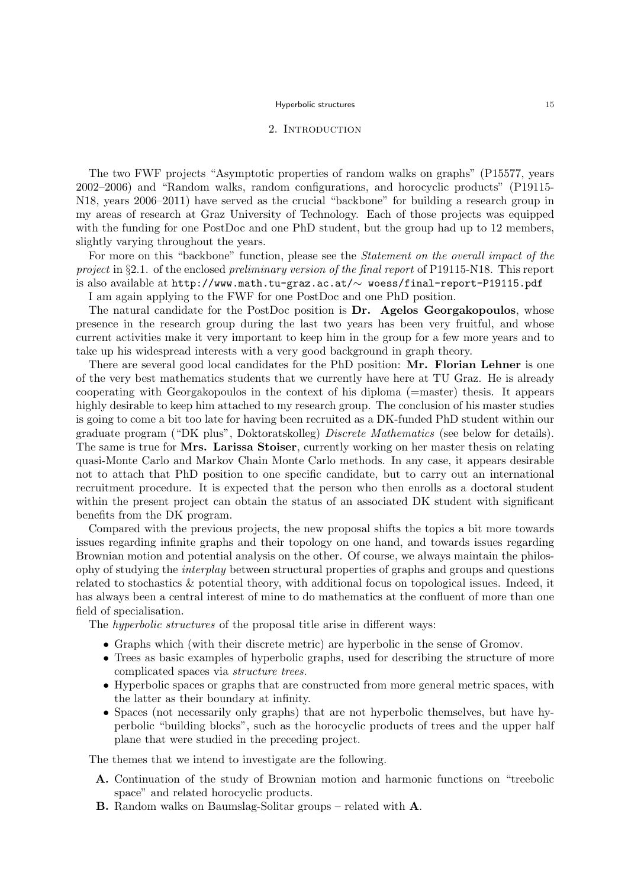### 2. INTRODUCTION

The two FWF projects "Asymptotic properties of random walks on graphs" (P15577, years 2002–2006) and "Random walks, random configurations, and horocyclic products" (P19115- N18, years 2006–2011) have served as the crucial "backbone" for building a research group in my areas of research at Graz University of Technology. Each of those projects was equipped with the funding for one PostDoc and one PhD student, but the group had up to 12 members, slightly varying throughout the years.

For more on this "backbone" function, please see the Statement on the overall impact of the project in §2.1. of the enclosed preliminary version of the final report of P19115-N18. This report is also available at http://www.math.tu-graz.ac.at/∼ woess/final-report-P19115.pdf

I am again applying to the FWF for one PostDoc and one PhD position.

The natural candidate for the PostDoc position is **Dr.** Agelos Georgakopoulos, whose presence in the research group during the last two years has been very fruitful, and whose current activities make it very important to keep him in the group for a few more years and to take up his widespread interests with a very good background in graph theory.

There are several good local candidates for the PhD position: Mr. Florian Lehner is one of the very best mathematics students that we currently have here at TU Graz. He is already cooperating with Georgakopoulos in the context of his diploma (=master) thesis. It appears highly desirable to keep him attached to my research group. The conclusion of his master studies is going to come a bit too late for having been recruited as a DK-funded PhD student within our graduate program ("DK plus", Doktoratskolleg) Discrete Mathematics (see below for details). The same is true for Mrs. Larissa Stoiser, currently working on her master thesis on relating quasi-Monte Carlo and Markov Chain Monte Carlo methods. In any case, it appears desirable not to attach that PhD position to one specific candidate, but to carry out an international recruitment procedure. It is expected that the person who then enrolls as a doctoral student within the present project can obtain the status of an associated DK student with significant benefits from the DK program.

Compared with the previous projects, the new proposal shifts the topics a bit more towards issues regarding infinite graphs and their topology on one hand, and towards issues regarding Brownian motion and potential analysis on the other. Of course, we always maintain the philosophy of studying the interplay between structural properties of graphs and groups and questions related to stochastics & potential theory, with additional focus on topological issues. Indeed, it has always been a central interest of mine to do mathematics at the confluent of more than one field of specialisation.

The hyperbolic structures of the proposal title arise in different ways:

- Graphs which (with their discrete metric) are hyperbolic in the sense of Gromov.
- Trees as basic examples of hyperbolic graphs, used for describing the structure of more complicated spaces via structure trees.
- Hyperbolic spaces or graphs that are constructed from more general metric spaces, with the latter as their boundary at infinity.
- Spaces (not necessarily only graphs) that are not hyperbolic themselves, but have hyperbolic "building blocks", such as the horocyclic products of trees and the upper half plane that were studied in the preceding project.

The themes that we intend to investigate are the following.

- A. Continuation of the study of Brownian motion and harmonic functions on "treebolic space" and related horocyclic products.
- B. Random walks on Baumslag-Solitar groups related with A.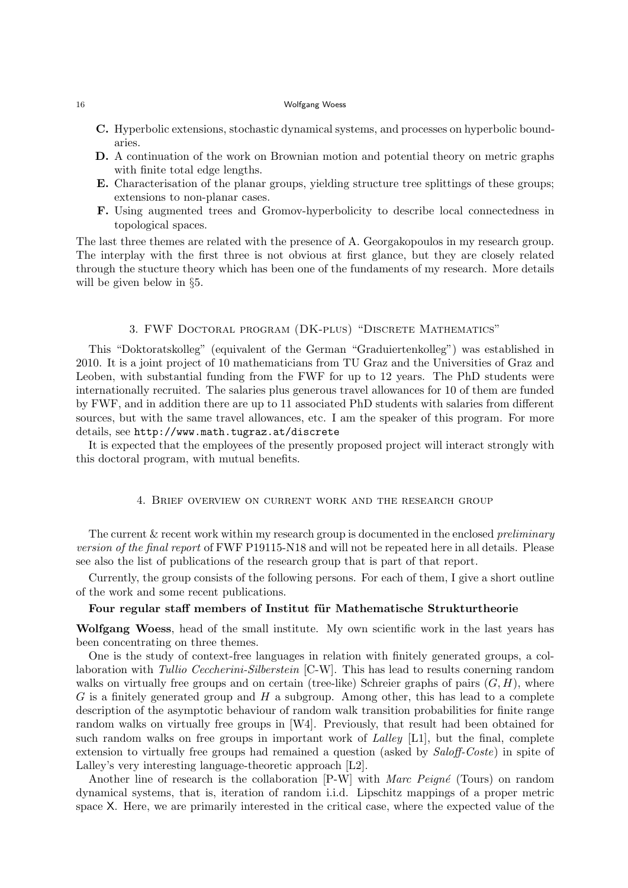- C. Hyperbolic extensions, stochastic dynamical systems, and processes on hyperbolic boundaries.
- D. A continuation of the work on Brownian motion and potential theory on metric graphs with finite total edge lengths.
- E. Characterisation of the planar groups, yielding structure tree splittings of these groups; extensions to non-planar cases.
- F. Using augmented trees and Gromov-hyperbolicity to describe local connectedness in topological spaces.

The last three themes are related with the presence of A. Georgakopoulos in my research group. The interplay with the first three is not obvious at first glance, but they are closely related through the stucture theory which has been one of the fundaments of my research. More details will be given below in §5.

# 3. FWF Doctoral program (DK-plus) "Discrete Mathematics"

This "Doktoratskolleg" (equivalent of the German "Graduiertenkolleg") was established in 2010. It is a joint project of 10 mathematicians from TU Graz and the Universities of Graz and Leoben, with substantial funding from the FWF for up to 12 years. The PhD students were internationally recruited. The salaries plus generous travel allowances for 10 of them are funded by FWF, and in addition there are up to 11 associated PhD students with salaries from different sources, but with the same travel allowances, etc. I am the speaker of this program. For more details, see http://www.math.tugraz.at/discrete

It is expected that the employees of the presently proposed project will interact strongly with this doctoral program, with mutual benefits.

4. Brief overview on current work and the research group

The current  $&$  recent work within my research group is documented in the enclosed *preliminary* version of the final report of FWF P19115-N18 and will not be repeated here in all details. Please see also the list of publications of the research group that is part of that report.

Currently, the group consists of the following persons. For each of them, I give a short outline of the work and some recent publications.

### Four regular staff members of Institut für Mathematische Strukturtheorie

Wolfgang Woess, head of the small institute. My own scientific work in the last years has been concentrating on three themes.

One is the study of context-free languages in relation with finitely generated groups, a collaboration with Tullio Ceccherini-Silberstein [C-W]. This has lead to results conerning random walks on virtually free groups and on certain (tree-like) Schreier graphs of pairs  $(G, H)$ , where  $G$  is a finitely generated group and  $H$  a subgroup. Among other, this has lead to a complete description of the asymptotic behaviour of random walk transition probabilities for finite range random walks on virtually free groups in [W4]. Previously, that result had been obtained for such random walks on free groups in important work of Lalley  $[L1]$ , but the final, complete extension to virtually free groups had remained a question (asked by Saloff-Coste) in spite of Lalley's very interesting language-theoretic approach [L2].

Another line of research is the collaboration  $[P-W]$  with Marc Peigné (Tours) on random dynamical systems, that is, iteration of random i.i.d. Lipschitz mappings of a proper metric space X. Here, we are primarily interested in the critical case, where the expected value of the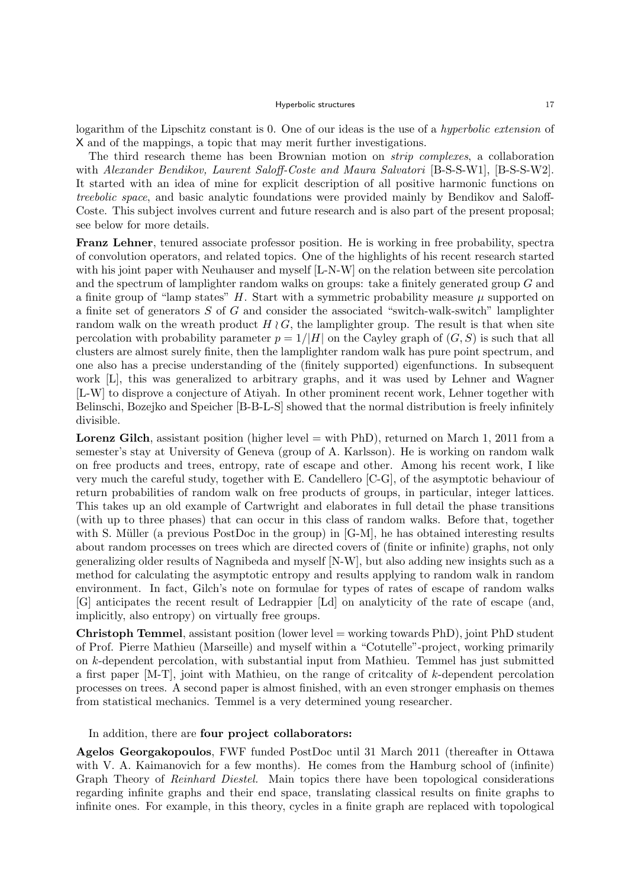logarithm of the Lipschitz constant is 0. One of our ideas is the use of a hyperbolic extension of X and of the mappings, a topic that may merit further investigations.

The third research theme has been Brownian motion on strip complexes, a collaboration with Alexander Bendikov, Laurent Saloff-Coste and Maura Salvatori [B-S-S-W1], [B-S-S-W2]. It started with an idea of mine for explicit description of all positive harmonic functions on treebolic space, and basic analytic foundations were provided mainly by Bendikov and Saloff-Coste. This subject involves current and future research and is also part of the present proposal; see below for more details.

Franz Lehner, tenured associate professor position. He is working in free probability, spectra of convolution operators, and related topics. One of the highlights of his recent research started with his joint paper with Neuhauser and myself [L-N-W] on the relation between site percolation and the spectrum of lamplighter random walks on groups: take a finitely generated group G and a finite group of "lamp states"  $H$ . Start with a symmetric probability measure  $\mu$  supported on a finite set of generators S of G and consider the associated "switch-walk-switch" lamplighter random walk on the wreath product  $H \wr G$ , the lamplighter group. The result is that when site percolation with probability parameter  $p = 1/|H|$  on the Cayley graph of  $(G, S)$  is such that all clusters are almost surely finite, then the lamplighter random walk has pure point spectrum, and one also has a precise understanding of the (finitely supported) eigenfunctions. In subsequent work [L], this was generalized to arbitrary graphs, and it was used by Lehner and Wagner [L-W] to disprove a conjecture of Atiyah. In other prominent recent work, Lehner together with Belinschi, Bozejko and Speicher [B-B-L-S] showed that the normal distribution is freely infinitely divisible.

**Lorenz Gilch**, assistant position (higher level  $=$  with PhD), returned on March 1, 2011 from a semester's stay at University of Geneva (group of A. Karlsson). He is working on random walk on free products and trees, entropy, rate of escape and other. Among his recent work, I like very much the careful study, together with E. Candellero [C-G], of the asymptotic behaviour of return probabilities of random walk on free products of groups, in particular, integer lattices. This takes up an old example of Cartwright and elaborates in full detail the phase transitions (with up to three phases) that can occur in this class of random walks. Before that, together with S. Müller (a previous PostDoc in the group) in  $[G-M]$ , he has obtained interesting results about random processes on trees which are directed covers of (finite or infinite) graphs, not only generalizing older results of Nagnibeda and myself [N-W], but also adding new insights such as a method for calculating the asymptotic entropy and results applying to random walk in random environment. In fact, Gilch's note on formulae for types of rates of escape of random walks [G] anticipates the recent result of Ledrappier [Ld] on analyticity of the rate of escape (and, implicitly, also entropy) on virtually free groups.

Christoph Temmel, assistant position (lower level = working towards PhD), joint PhD student of Prof. Pierre Mathieu (Marseille) and myself within a "Cotutelle"-project, working primarily on k-dependent percolation, with substantial input from Mathieu. Temmel has just submitted a first paper [M-T], joint with Mathieu, on the range of critcality of k-dependent percolation processes on trees. A second paper is almost finished, with an even stronger emphasis on themes from statistical mechanics. Temmel is a very determined young researcher.

In addition, there are four project collaborators:

Agelos Georgakopoulos, FWF funded PostDoc until 31 March 2011 (thereafter in Ottawa with V. A. Kaimanovich for a few months). He comes from the Hamburg school of (infinite) Graph Theory of Reinhard Diestel. Main topics there have been topological considerations regarding infinite graphs and their end space, translating classical results on finite graphs to infinite ones. For example, in this theory, cycles in a finite graph are replaced with topological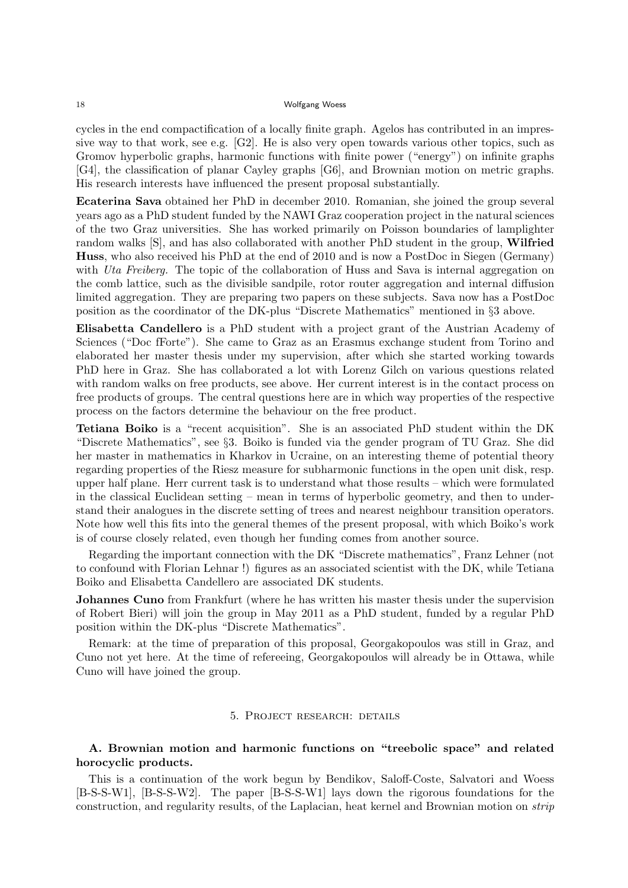cycles in the end compactification of a locally finite graph. Agelos has contributed in an impressive way to that work, see e.g. [G2]. He is also very open towards various other topics, such as Gromov hyperbolic graphs, harmonic functions with finite power ("energy") on infinite graphs [G4], the classification of planar Cayley graphs [G6], and Brownian motion on metric graphs. His research interests have influenced the present proposal substantially.

Ecaterina Sava obtained her PhD in december 2010. Romanian, she joined the group several years ago as a PhD student funded by the NAWI Graz cooperation project in the natural sciences of the two Graz universities. She has worked primarily on Poisson boundaries of lamplighter random walks [S], and has also collaborated with another PhD student in the group, Wilfried Huss, who also received his PhD at the end of 2010 and is now a PostDoc in Siegen (Germany) with Uta Freiberg. The topic of the collaboration of Huss and Sava is internal aggregation on the comb lattice, such as the divisible sandpile, rotor router aggregation and internal diffusion limited aggregation. They are preparing two papers on these subjects. Sava now has a PostDoc position as the coordinator of the DK-plus "Discrete Mathematics" mentioned in §3 above.

Elisabetta Candellero is a PhD student with a project grant of the Austrian Academy of Sciences ("Doc fForte"). She came to Graz as an Erasmus exchange student from Torino and elaborated her master thesis under my supervision, after which she started working towards PhD here in Graz. She has collaborated a lot with Lorenz Gilch on various questions related with random walks on free products, see above. Her current interest is in the contact process on free products of groups. The central questions here are in which way properties of the respective process on the factors determine the behaviour on the free product.

Tetiana Boiko is a "recent acquisition". She is an associated PhD student within the DK "Discrete Mathematics", see §3. Boiko is funded via the gender program of TU Graz. She did her master in mathematics in Kharkov in Ucraine, on an interesting theme of potential theory regarding properties of the Riesz measure for subharmonic functions in the open unit disk, resp. upper half plane. Herr current task is to understand what those results – which were formulated in the classical Euclidean setting – mean in terms of hyperbolic geometry, and then to understand their analogues in the discrete setting of trees and nearest neighbour transition operators. Note how well this fits into the general themes of the present proposal, with which Boiko's work is of course closely related, even though her funding comes from another source.

Regarding the important connection with the DK "Discrete mathematics", Franz Lehner (not to confound with Florian Lehnar !) figures as an associated scientist with the DK, while Tetiana Boiko and Elisabetta Candellero are associated DK students.

Johannes Cuno from Frankfurt (where he has written his master thesis under the supervision of Robert Bieri) will join the group in May 2011 as a PhD student, funded by a regular PhD position within the DK-plus "Discrete Mathematics".

Remark: at the time of preparation of this proposal, Georgakopoulos was still in Graz, and Cuno not yet here. At the time of refereeing, Georgakopoulos will already be in Ottawa, while Cuno will have joined the group.

### 5. Project research: details

# A. Brownian motion and harmonic functions on "treebolic space" and related horocyclic products.

This is a continuation of the work begun by Bendikov, Saloff-Coste, Salvatori and Woess [B-S-S-W1], [B-S-S-W2]. The paper [B-S-S-W1] lays down the rigorous foundations for the construction, and regularity results, of the Laplacian, heat kernel and Brownian motion on strip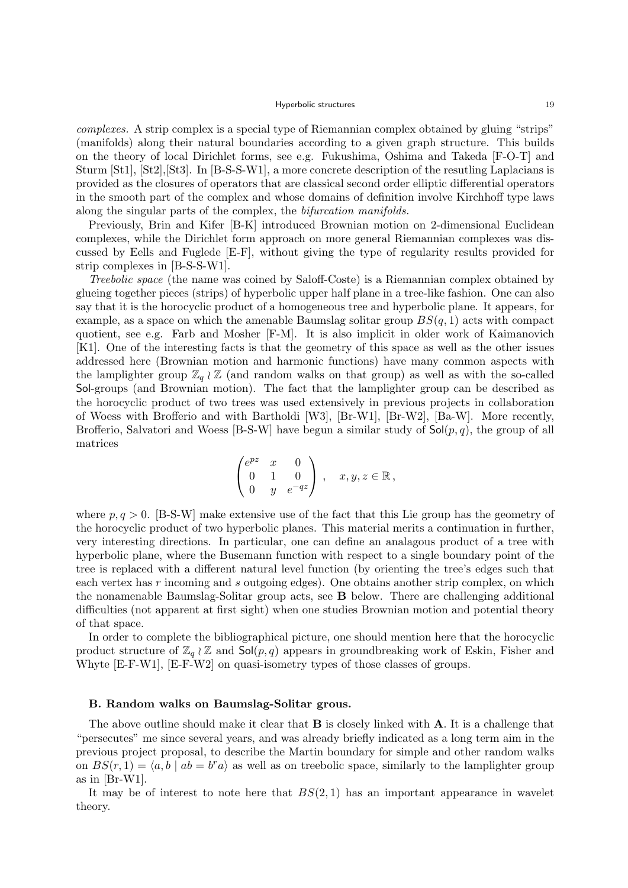complexes. A strip complex is a special type of Riemannian complex obtained by gluing "strips" (manifolds) along their natural boundaries according to a given graph structure. This builds on the theory of local Dirichlet forms, see e.g. Fukushima, Oshima and Takeda [F-O-T] and Sturm [St1], [St2],[St3]. In [B-S-S-W1], a more concrete description of the resutling Laplacians is provided as the closures of operators that are classical second order elliptic differential operators in the smooth part of the complex and whose domains of definition involve Kirchhoff type laws along the singular parts of the complex, the bifurcation manifolds.

Previously, Brin and Kifer [B-K] introduced Brownian motion on 2-dimensional Euclidean complexes, while the Dirichlet form approach on more general Riemannian complexes was discussed by Eells and Fuglede [E-F], without giving the type of regularity results provided for strip complexes in [B-S-S-W1].

Treebolic space (the name was coined by Saloff-Coste) is a Riemannian complex obtained by glueing together pieces (strips) of hyperbolic upper half plane in a tree-like fashion. One can also say that it is the horocyclic product of a homogeneous tree and hyperbolic plane. It appears, for example, as a space on which the amenable Baumslag solitar group  $BS(q, 1)$  acts with compact quotient, see e.g. Farb and Mosher [F-M]. It is also implicit in older work of Kaimanovich [K1]. One of the interesting facts is that the geometry of this space as well as the other issues addressed here (Brownian motion and harmonic functions) have many common aspects with the lamplighter group  $\mathbb{Z}_q \wr \mathbb{Z}$  (and random walks on that group) as well as with the so-called Sol-groups (and Brownian motion). The fact that the lamplighter group can be described as the horocyclic product of two trees was used extensively in previous projects in collaboration of Woess with Brofferio and with Bartholdi [W3], [Br-W1], [Br-W2], [Ba-W]. More recently, Brofferio, Salvatori and Woess [B-S-W] have begun a similar study of  $\mathsf{Sol}(p,q)$ , the group of all matrices

$$
\begin{pmatrix} e^{pz} & x & 0 \\ 0 & 1 & 0 \\ 0 & y & e^{-qz} \end{pmatrix}, \quad x, y, z \in \mathbb{R},
$$

where  $p, q > 0$ . [B-S-W] make extensive use of the fact that this Lie group has the geometry of the horocyclic product of two hyperbolic planes. This material merits a continuation in further, very interesting directions. In particular, one can define an analagous product of a tree with hyperbolic plane, where the Busemann function with respect to a single boundary point of the tree is replaced with a different natural level function (by orienting the tree's edges such that each vertex has r incoming and s outgoing edges). One obtains another strip complex, on which the nonamenable Baumslag-Solitar group acts, see B below. There are challenging additional difficulties (not apparent at first sight) when one studies Brownian motion and potential theory of that space.

In order to complete the bibliographical picture, one should mention here that the horocyclic product structure of  $\mathbb{Z}_q \wr \mathbb{Z}$  and  $\mathsf{Sol}(p,q)$  appears in groundbreaking work of Eskin, Fisher and Whyte  $[E-F-W1]$ ,  $[E-F-W2]$  on quasi-isometry types of those classes of groups.

#### B. Random walks on Baumslag-Solitar grous.

The above outline should make it clear that  $\bf{B}$  is closely linked with  $\bf{A}$ . It is a challenge that "persecutes" me since several years, and was already briefly indicated as a long term aim in the previous project proposal, to describe the Martin boundary for simple and other random walks on  $BS(r, 1) = \langle a, b | ab = b^r a \rangle$  as well as on treebolic space, similarly to the lamplighter group as in [Br-W1].

It may be of interest to note here that  $BS(2, 1)$  has an important appearance in wavelet theory.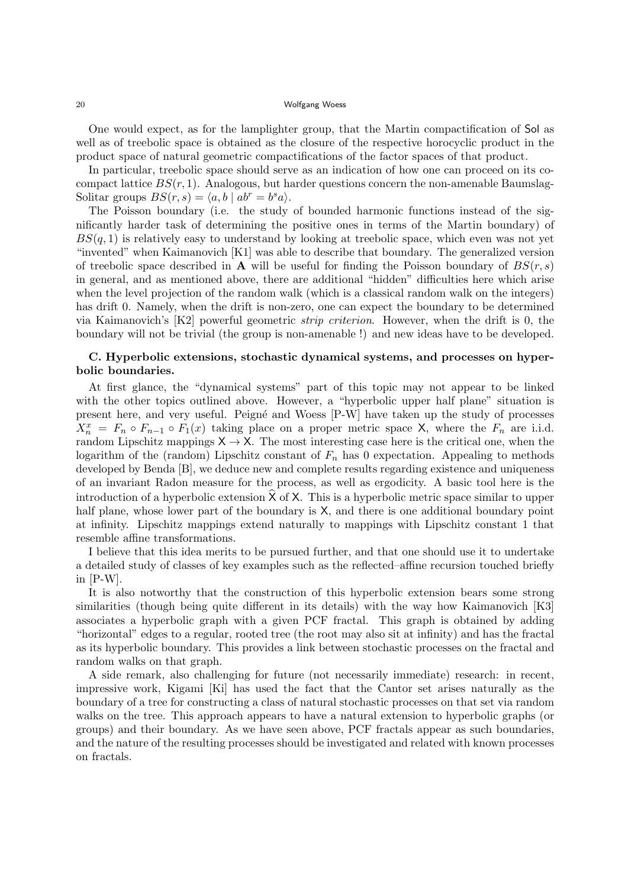One would expect, as for the lamplighter group, that the Martin compactification of Sol as well as of treebolic space is obtained as the closure of the respective horocyclic product in the product space of natural geometric compactifications of the factor spaces of that product.

In particular, treebolic space should serve as an indication of how one can proceed on its cocompact lattice  $BS(r, 1)$ . Analogous, but harder questions concern the non-amenable Baumslag-Solitar groups  $BS(r, s) = \langle a, b \mid ab^r = b^s a \rangle$ .

The Poisson boundary (i.e. the study of bounded harmonic functions instead of the significantly harder task of determining the positive ones in terms of the Martin boundary) of  $BS(q, 1)$  is relatively easy to understand by looking at treebolic space, which even was not yet "invented" when Kaimanovich [K1] was able to describe that boundary. The generalized version of treebolic space described in **A** will be useful for finding the Poisson boundary of  $BS(r, s)$ in general, and as mentioned above, there are additional "hidden" difficulties here which arise when the level projection of the random walk (which is a classical random walk on the integers) has drift 0. Namely, when the drift is non-zero, one can expect the boundary to be determined via Kaimanovich's [K2] powerful geometric strip criterion. However, when the drift is 0, the boundary will not be trivial (the group is non-amenable !) and new ideas have to be developed.

# C. Hyperbolic extensions, stochastic dynamical systems, and processes on hyperbolic boundaries.

At first glance, the "dynamical systems" part of this topic may not appear to be linked with the other topics outlined above. However, a "hyperbolic upper half plane" situation is present here, and very useful. Peigné and Woess [P-W] have taken up the study of processes  $X_n^x = F_n \circ F_{n-1} \circ F_1(x)$  taking place on a proper metric space X, where the  $F_n$  are i.i.d. random Lipschitz mappings  $X \to X$ . The most interesting case here is the critical one, when the logarithm of the (random) Lipschitz constant of  $F_n$  has 0 expectation. Appealing to methods developed by Benda [B], we deduce new and complete results regarding existence and uniqueness of an invariant Radon measure for the process, as well as ergodicity. A basic tool here is the introduction of a hyperbolic extension  $X$  of  $X$ . This is a hyperbolic metric space similar to upper half plane, whose lower part of the boundary is  $X$ , and there is one additional boundary point at infinity. Lipschitz mappings extend naturally to mappings with Lipschitz constant 1 that resemble affine transformations.

I believe that this idea merits to be pursued further, and that one should use it to undertake a detailed study of classes of key examples such as the reflected–affine recursion touched briefly in [P-W].

It is also notworthy that the construction of this hyperbolic extension bears some strong similarities (though being quite different in its details) with the way how Kaimanovich [K3] associates a hyperbolic graph with a given PCF fractal. This graph is obtained by adding "horizontal" edges to a regular, rooted tree (the root may also sit at infinity) and has the fractal as its hyperbolic boundary. This provides a link between stochastic processes on the fractal and random walks on that graph.

A side remark, also challenging for future (not necessarily immediate) research: in recent, impressive work, Kigami [Ki] has used the fact that the Cantor set arises naturally as the boundary of a tree for constructing a class of natural stochastic processes on that set via random walks on the tree. This approach appears to have a natural extension to hyperbolic graphs (or groups) and their boundary. As we have seen above, PCF fractals appear as such boundaries, and the nature of the resulting processes should be investigated and related with known processes on fractals.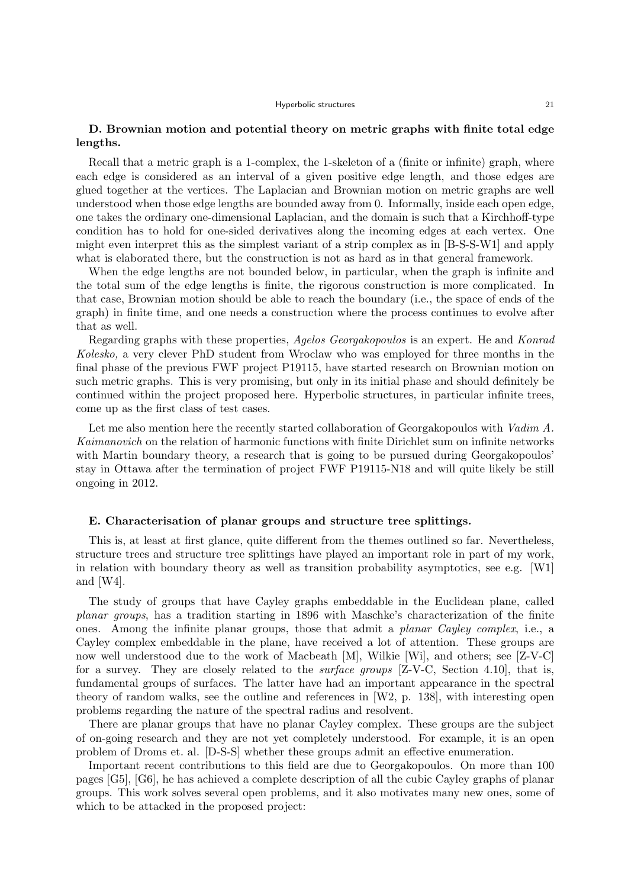# D. Brownian motion and potential theory on metric graphs with finite total edge lengths.

Recall that a metric graph is a 1-complex, the 1-skeleton of a (finite or infinite) graph, where each edge is considered as an interval of a given positive edge length, and those edges are glued together at the vertices. The Laplacian and Brownian motion on metric graphs are well understood when those edge lengths are bounded away from 0. Informally, inside each open edge, one takes the ordinary one-dimensional Laplacian, and the domain is such that a Kirchhoff-type condition has to hold for one-sided derivatives along the incoming edges at each vertex. One might even interpret this as the simplest variant of a strip complex as in [B-S-S-W1] and apply what is elaborated there, but the construction is not as hard as in that general framework.

When the edge lengths are not bounded below, in particular, when the graph is infinite and the total sum of the edge lengths is finite, the rigorous construction is more complicated. In that case, Brownian motion should be able to reach the boundary (i.e., the space of ends of the graph) in finite time, and one needs a construction where the process continues to evolve after that as well.

Regarding graphs with these properties, Agelos Georgakopoulos is an expert. He and Konrad Kolesko, a very clever PhD student from Wroclaw who was employed for three months in the final phase of the previous FWF project P19115, have started research on Brownian motion on such metric graphs. This is very promising, but only in its initial phase and should definitely be continued within the project proposed here. Hyperbolic structures, in particular infinite trees, come up as the first class of test cases.

Let me also mention here the recently started collaboration of Georgakopoulos with Vadim A. Kaimanovich on the relation of harmonic functions with finite Dirichlet sum on infinite networks with Martin boundary theory, a research that is going to be pursued during Georgakopoulos' stay in Ottawa after the termination of project FWF P19115-N18 and will quite likely be still ongoing in 2012.

### E. Characterisation of planar groups and structure tree splittings.

This is, at least at first glance, quite different from the themes outlined so far. Nevertheless, structure trees and structure tree splittings have played an important role in part of my work, in relation with boundary theory as well as transition probability asymptotics, see e.g. [W1] and [W4].

The study of groups that have Cayley graphs embeddable in the Euclidean plane, called planar groups, has a tradition starting in 1896 with Maschke's characterization of the finite ones. Among the infinite planar groups, those that admit a planar Cayley complex, i.e., a Cayley complex embeddable in the plane, have received a lot of attention. These groups are now well understood due to the work of Macbeath [M], Wilkie [Wi], and others; see [Z-V-C] for a survey. They are closely related to the *surface groups* [Z-V-C, Section 4.10], that is, fundamental groups of surfaces. The latter have had an important appearance in the spectral theory of random walks, see the outline and references in [W2, p. 138], with interesting open problems regarding the nature of the spectral radius and resolvent.

There are planar groups that have no planar Cayley complex. These groups are the subject of on-going research and they are not yet completely understood. For example, it is an open problem of Droms et. al. [D-S-S] whether these groups admit an effective enumeration.

Important recent contributions to this field are due to Georgakopoulos. On more than 100 pages [G5], [G6], he has achieved a complete description of all the cubic Cayley graphs of planar groups. This work solves several open problems, and it also motivates many new ones, some of which to be attacked in the proposed project: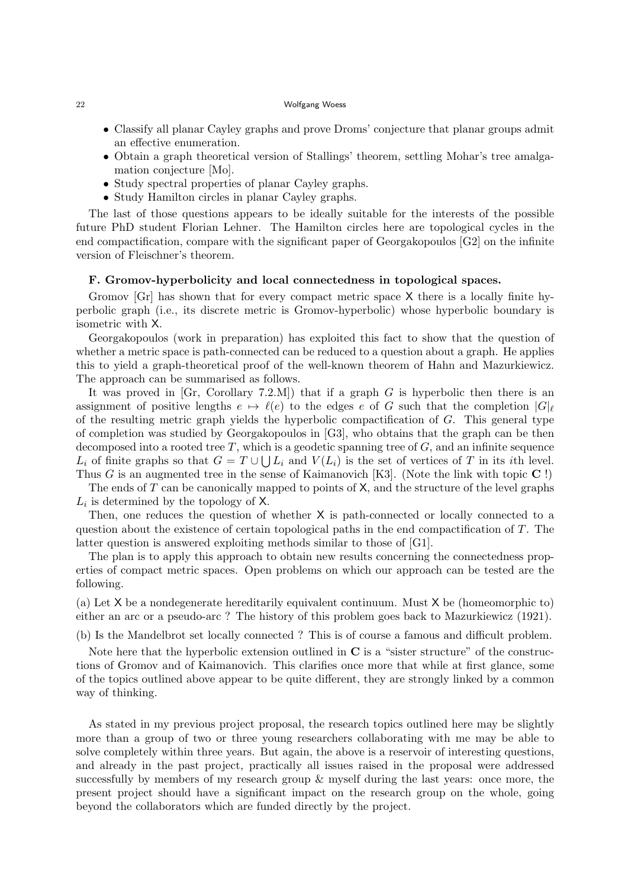- Classify all planar Cayley graphs and prove Droms' conjecture that planar groups admit an effective enumeration.
- Obtain a graph theoretical version of Stallings' theorem, settling Mohar's tree amalgamation conjecture [Mo].
- Study spectral properties of planar Cayley graphs.
- Study Hamilton circles in planar Cayley graphs.

The last of those questions appears to be ideally suitable for the interests of the possible future PhD student Florian Lehner. The Hamilton circles here are topological cycles in the end compactification, compare with the significant paper of Georgakopoulos [G2] on the infinite version of Fleischner's theorem.

### F. Gromov-hyperbolicity and local connectedness in topological spaces.

Gromov [Gr] has shown that for every compact metric space X there is a locally finite hyperbolic graph (i.e., its discrete metric is Gromov-hyperbolic) whose hyperbolic boundary is isometric with X.

Georgakopoulos (work in preparation) has exploited this fact to show that the question of whether a metric space is path-connected can be reduced to a question about a graph. He applies this to yield a graph-theoretical proof of the well-known theorem of Hahn and Mazurkiewicz. The approach can be summarised as follows.

It was proved in  $[Gr, Corollary 7.2.M]$  that if a graph G is hyperbolic then there is an assignment of positive lengths  $e \mapsto \ell(e)$  to the edges e of G such that the completion  $|G|_\ell$ of the resulting metric graph yields the hyperbolic compactification of G. This general type of completion was studied by Georgakopoulos in [G3], who obtains that the graph can be then decomposed into a rooted tree  $T$ , which is a geodetic spanning tree of  $G$ , and an infinite sequence  $L_i$  of finite graphs so that  $G = T \cup \bigcup L_i$  and  $V(L_i)$  is the set of vertices of T in its *i*th level. Thus G is an augmented tree in the sense of Kaimanovich [K3]. (Note the link with topic  $\mathbb{C}$ !)

The ends of  $T$  can be canonically mapped to points of  $X$ , and the structure of the level graphs  $L_i$  is determined by the topology of X.

Then, one reduces the question of whether X is path-connected or locally connected to a question about the existence of certain topological paths in the end compactification of  $T$ . The latter question is answered exploiting methods similar to those of [G1].

The plan is to apply this approach to obtain new results concerning the connectedness properties of compact metric spaces. Open problems on which our approach can be tested are the following.

(a) Let X be a nondegenerate hereditarily equivalent continuum. Must X be (homeomorphic to) either an arc or a pseudo-arc ? The history of this problem goes back to Mazurkiewicz (1921).

(b) Is the Mandelbrot set locally connected ? This is of course a famous and difficult problem.

Note here that the hyperbolic extension outlined in  $C$  is a "sister structure" of the constructions of Gromov and of Kaimanovich. This clarifies once more that while at first glance, some of the topics outlined above appear to be quite different, they are strongly linked by a common way of thinking.

As stated in my previous project proposal, the research topics outlined here may be slightly more than a group of two or three young researchers collaborating with me may be able to solve completely within three years. But again, the above is a reservoir of interesting questions, and already in the past project, practically all issues raised in the proposal were addressed successfully by members of my research group & myself during the last years: once more, the present project should have a significant impact on the research group on the whole, going beyond the collaborators which are funded directly by the project.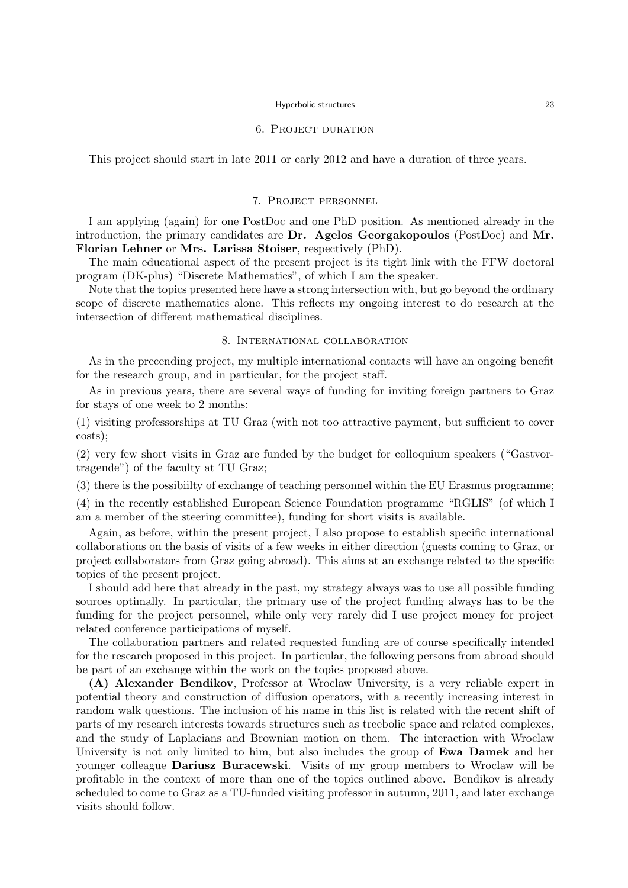#### 6. Project duration

This project should start in late 2011 or early 2012 and have a duration of three years.

### 7. Project personnel

I am applying (again) for one PostDoc and one PhD position. As mentioned already in the introduction, the primary candidates are Dr. Agelos Georgakopoulos (PostDoc) and Mr. Florian Lehner or Mrs. Larissa Stoiser, respectively (PhD).

The main educational aspect of the present project is its tight link with the FFW doctoral program (DK-plus) "Discrete Mathematics", of which I am the speaker.

Note that the topics presented here have a strong intersection with, but go beyond the ordinary scope of discrete mathematics alone. This reflects my ongoing interest to do research at the intersection of different mathematical disciplines.

### 8. International collaboration

As in the precending project, my multiple international contacts will have an ongoing benefit for the research group, and in particular, for the project staff.

As in previous years, there are several ways of funding for inviting foreign partners to Graz for stays of one week to 2 months:

(1) visiting professorships at TU Graz (with not too attractive payment, but sufficient to cover costs);

(2) very few short visits in Graz are funded by the budget for colloquium speakers ("Gastvortragende") of the faculty at TU Graz;

(3) there is the possibiilty of exchange of teaching personnel within the EU Erasmus programme;

(4) in the recently established European Science Foundation programme "RGLIS" (of which I am a member of the steering committee), funding for short visits is available.

Again, as before, within the present project, I also propose to establish specific international collaborations on the basis of visits of a few weeks in either direction (guests coming to Graz, or project collaborators from Graz going abroad). This aims at an exchange related to the specific topics of the present project.

I should add here that already in the past, my strategy always was to use all possible funding sources optimally. In particular, the primary use of the project funding always has to be the funding for the project personnel, while only very rarely did I use project money for project related conference participations of myself.

The collaboration partners and related requested funding are of course specifically intended for the research proposed in this project. In particular, the following persons from abroad should be part of an exchange within the work on the topics proposed above.

(A) Alexander Bendikov, Professor at Wroclaw University, is a very reliable expert in potential theory and construction of diffusion operators, with a recently increasing interest in random walk questions. The inclusion of his name in this list is related with the recent shift of parts of my research interests towards structures such as treebolic space and related complexes, and the study of Laplacians and Brownian motion on them. The interaction with Wroclaw University is not only limited to him, but also includes the group of **Ewa Damek** and her younger colleague Dariusz Buracewski. Visits of my group members to Wroclaw will be profitable in the context of more than one of the topics outlined above. Bendikov is already scheduled to come to Graz as a TU-funded visiting professor in autumn, 2011, and later exchange visits should follow.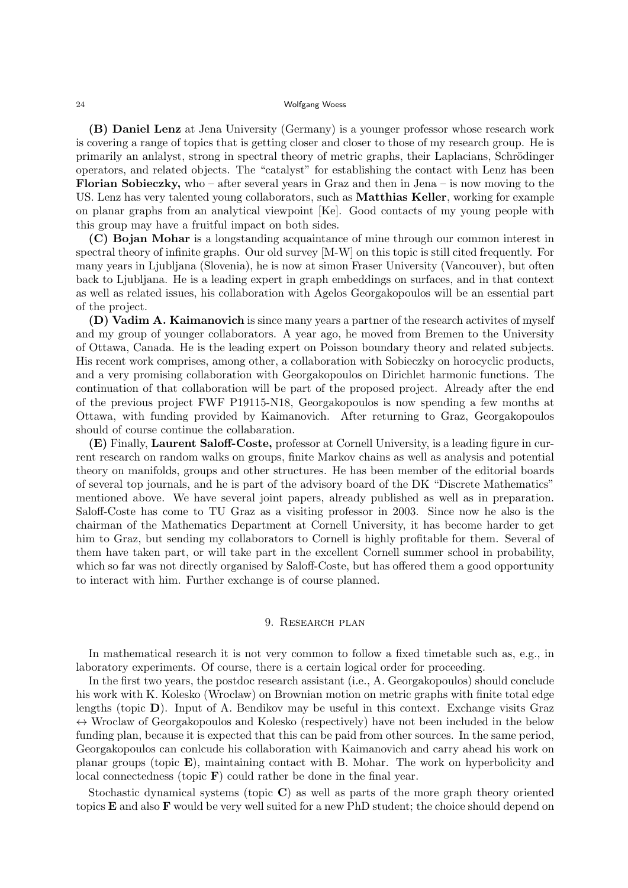(B) Daniel Lenz at Jena University (Germany) is a younger professor whose research work is covering a range of topics that is getting closer and closer to those of my research group. He is primarily an anlalyst, strong in spectral theory of metric graphs, their Laplacians, Schrödinger operators, and related objects. The "catalyst" for establishing the contact with Lenz has been Florian Sobieczky, who – after several years in Graz and then in Jena – is now moving to the US. Lenz has very talented young collaborators, such as Matthias Keller, working for example on planar graphs from an analytical viewpoint [Ke]. Good contacts of my young people with this group may have a fruitful impact on both sides.

(C) Bojan Mohar is a longstanding acquaintance of mine through our common interest in spectral theory of infinite graphs. Our old survey [M-W] on this topic is still cited frequently. For many years in Ljubljana (Slovenia), he is now at simon Fraser University (Vancouver), but often back to Ljubljana. He is a leading expert in graph embeddings on surfaces, and in that context as well as related issues, his collaboration with Agelos Georgakopoulos will be an essential part of the project.

(D) Vadim A. Kaimanovich is since many years a partner of the research activites of myself and my group of younger collaborators. A year ago, he moved from Bremen to the University of Ottawa, Canada. He is the leading expert on Poisson boundary theory and related subjects. His recent work comprises, among other, a collaboration with Sobieczky on horocyclic products, and a very promising collaboration with Georgakopoulos on Dirichlet harmonic functions. The continuation of that collaboration will be part of the proposed project. Already after the end of the previous project FWF P19115-N18, Georgakopoulos is now spending a few months at Ottawa, with funding provided by Kaimanovich. After returning to Graz, Georgakopoulos should of course continue the collabaration.

(E) Finally, Laurent Saloff-Coste, professor at Cornell University, is a leading figure in current research on random walks on groups, finite Markov chains as well as analysis and potential theory on manifolds, groups and other structures. He has been member of the editorial boards of several top journals, and he is part of the advisory board of the DK "Discrete Mathematics" mentioned above. We have several joint papers, already published as well as in preparation. Saloff-Coste has come to TU Graz as a visiting professor in 2003. Since now he also is the chairman of the Mathematics Department at Cornell University, it has become harder to get him to Graz, but sending my collaborators to Cornell is highly profitable for them. Several of them have taken part, or will take part in the excellent Cornell summer school in probability, which so far was not directly organised by Saloff-Coste, but has offered them a good opportunity to interact with him. Further exchange is of course planned.

# 9. Research plan

In mathematical research it is not very common to follow a fixed timetable such as, e.g., in laboratory experiments. Of course, there is a certain logical order for proceeding.

In the first two years, the postdoc research assistant (i.e., A. Georgakopoulos) should conclude his work with K. Kolesko (Wroclaw) on Brownian motion on metric graphs with finite total edge lengths (topic D). Input of A. Bendikov may be useful in this context. Exchange visits Graz  $\leftrightarrow$  Wroclaw of Georgakopoulos and Kolesko (respectively) have not been included in the below funding plan, because it is expected that this can be paid from other sources. In the same period, Georgakopoulos can conlcude his collaboration with Kaimanovich and carry ahead his work on planar groups (topic  $\bf{E}$ ), maintaining contact with B. Mohar. The work on hyperbolicity and local connectedness (topic  $\bf{F}$ ) could rather be done in the final year.

Stochastic dynamical systems (topic C) as well as parts of the more graph theory oriented topics E and also F would be very well suited for a new PhD student; the choice should depend on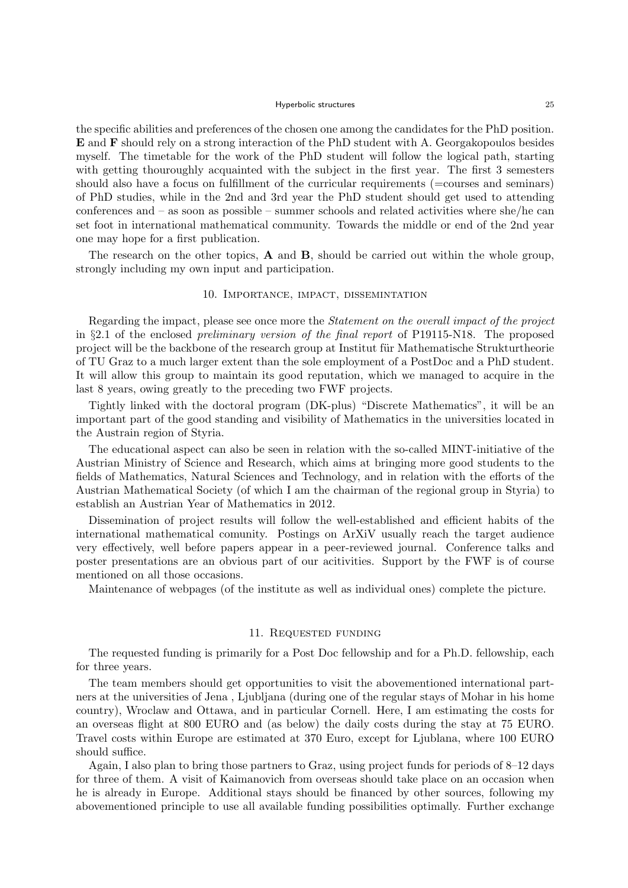the specific abilities and preferences of the chosen one among the candidates for the PhD position. E and F should rely on a strong interaction of the PhD student with A. Georgakopoulos besides myself. The timetable for the work of the PhD student will follow the logical path, starting with getting thouroughly acquainted with the subject in the first year. The first 3 semesters should also have a focus on fulfillment of the curricular requirements (=courses and seminars) of PhD studies, while in the 2nd and 3rd year the PhD student should get used to attending conferences and – as soon as possible – summer schools and related activities where she/he can set foot in international mathematical community. Towards the middle or end of the 2nd year one may hope for a first publication.

The research on the other topics, **A** and **B**, should be carried out within the whole group, strongly including my own input and participation.

### 10. Importance, impact, dissemintation

Regarding the impact, please see once more the Statement on the overall impact of the project in §2.1 of the enclosed preliminary version of the final report of P19115-N18. The proposed project will be the backbone of the research group at Institut für Mathematische Strukturtheorie of TU Graz to a much larger extent than the sole employment of a PostDoc and a PhD student. It will allow this group to maintain its good reputation, which we managed to acquire in the last 8 years, owing greatly to the preceding two FWF projects.

Tightly linked with the doctoral program (DK-plus) "Discrete Mathematics", it will be an important part of the good standing and visibility of Mathematics in the universities located in the Austrain region of Styria.

The educational aspect can also be seen in relation with the so-called MINT-initiative of the Austrian Ministry of Science and Research, which aims at bringing more good students to the fields of Mathematics, Natural Sciences and Technology, and in relation with the efforts of the Austrian Mathematical Society (of which I am the chairman of the regional group in Styria) to establish an Austrian Year of Mathematics in 2012.

Dissemination of project results will follow the well-established and efficient habits of the international mathematical comunity. Postings on ArXiV usually reach the target audience very effectively, well before papers appear in a peer-reviewed journal. Conference talks and poster presentations are an obvious part of our acitivities. Support by the FWF is of course mentioned on all those occasions.

Maintenance of webpages (of the institute as well as individual ones) complete the picture.

#### 11. Requested funding

The requested funding is primarily for a Post Doc fellowship and for a Ph.D. fellowship, each for three years.

The team members should get opportunities to visit the abovementioned international partners at the universities of Jena , Ljubljana (during one of the regular stays of Mohar in his home country), Wroclaw and Ottawa, and in particular Cornell. Here, I am estimating the costs for an overseas flight at 800 EURO and (as below) the daily costs during the stay at 75 EURO. Travel costs within Europe are estimated at 370 Euro, except for Ljublana, where 100 EURO should suffice.

Again, I also plan to bring those partners to Graz, using project funds for periods of 8–12 days for three of them. A visit of Kaimanovich from overseas should take place on an occasion when he is already in Europe. Additional stays should be financed by other sources, following my abovementioned principle to use all available funding possibilities optimally. Further exchange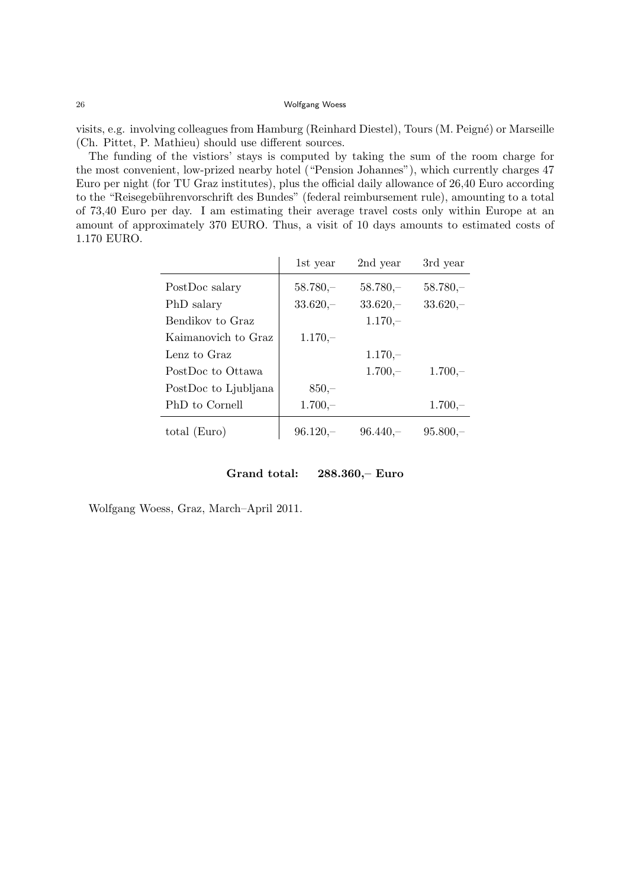visits, e.g. involving colleagues from Hamburg (Reinhard Diestel), Tours (M. Peign´e) or Marseille (Ch. Pittet, P. Mathieu) should use different sources.

The funding of the vistiors' stays is computed by taking the sum of the room charge for the most convenient, low-prized nearby hotel ("Pension Johannes"), which currently charges 47 Euro per night (for TU Graz institutes), plus the official daily allowance of 26,40 Euro according to the "Reisegebührenvorschrift des Bundes" (federal reimbursement rule), amounting to a total of 73,40 Euro per day. I am estimating their average travel costs only within Europe at an amount of approximately 370 EURO. Thus, a visit of 10 days amounts to estimated costs of 1.170 EURO.

|                      | 1st year   | 2nd year   | 3rd year   |
|----------------------|------------|------------|------------|
| PostDoc salary       | $58.780 -$ | $58.780 -$ | $58.780 -$ |
| PhD salary           | $33.620 -$ | $33.620 -$ | $33.620 -$ |
| Bendikov to Graz     |            | $1.170 -$  |            |
| Kaimanovich to Graz  | $1.170 -$  |            |            |
| Lenz to Graz         |            | $1.170 -$  |            |
| PostDoc to Ottawa    |            | $1.700 -$  | $1.700 -$  |
| PostDoc to Ljubljana | $850 -$    |            |            |
| PhD to Cornell       | $1.700 -$  |            | $1.700 -$  |
| total (Euro)         | $96.120 -$ | $96.440 -$ | $95.800 -$ |

Grand total: 288.360,– Euro

Wolfgang Woess, Graz, March–April 2011.

 $\overline{a}$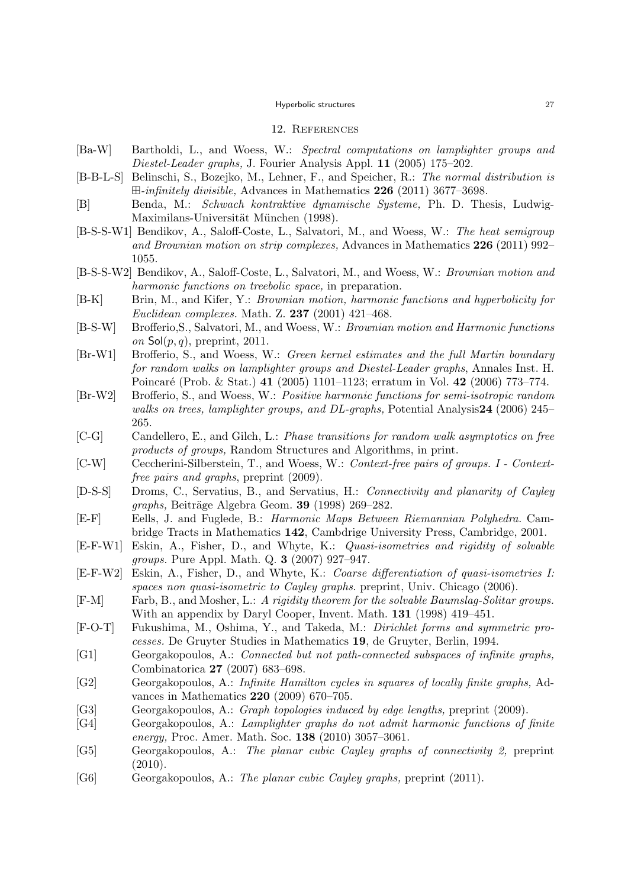#### 12. References

- [Ba-W] Bartholdi, L., and Woess, W.: Spectral computations on lamplighter groups and Diestel-Leader graphs, J. Fourier Analysis Appl. 11 (2005) 175–202.
- [B-B-L-S] Belinschi, S., Bozejko, M., Lehner, F., and Speicher, R.: The normal distribution is  $\boxplus$ -infinitely divisible, Advances in Mathematics 226 (2011) 3677–3698.
- [B] Benda, M.: Schwach kontraktive dynamische Systeme, Ph. D. Thesis, Ludwig-Maximilans-Universität München (1998).
- [B-S-S-W1] Bendikov, A., Saloff-Coste, L., Salvatori, M., and Woess, W.: The heat semigroup and Brownian motion on strip complexes, Advances in Mathematics 226 (2011) 992– 1055.
- [B-S-S-W2] Bendikov, A., Saloff-Coste, L., Salvatori, M., and Woess, W.: Brownian motion and harmonic functions on treebolic space, in preparation.
- [B-K] Brin, M., and Kifer, Y.: Brownian motion, harmonic functions and hyperbolicity for Euclidean complexes. Math. Z. 237 (2001) 421–468.
- [B-S-W] Brofferio,S., Salvatori, M., and Woess, W.: Brownian motion and Harmonic functions on  $\mathsf{Sol}(p,q)$ , preprint, 2011.
- [Br-W1] Brofferio, S., and Woess, W.: Green kernel estimates and the full Martin boundary for random walks on lamplighter groups and Diestel-Leader graphs, Annales Inst. H. Poincaré (Prob. & Stat.) 41 (2005) 1101–1123; erratum in Vol. 42 (2006) 773–774.
- [Br-W2] Brofferio, S., and Woess, W.: Positive harmonic functions for semi-isotropic random walks on trees, lamplighter groups, and DL-graphs, Potential Analysis24 (2006) 245– 265.
- [C-G] Candellero, E., and Gilch, L.: Phase transitions for random walk asymptotics on free products of groups, Random Structures and Algorithms, in print.
- [C-W] Ceccherini-Silberstein, T., and Woess, W.: Context-free pairs of groups. I Contextfree pairs and graphs, preprint  $(2009)$ .
- [D-S-S] Droms, C., Servatius, B., and Servatius, H.: Connectivity and planarity of Cayley  $graphs, Beitr\ddot{a}ge Algebra Geom.$  39 (1998) 269-282.
- [E-F] Eells, J. and Fuglede, B.: Harmonic Maps Between Riemannian Polyhedra. Cambridge Tracts in Mathematics 142, Cambdrige University Press, Cambridge, 2001.
- [E-F-W1] Eskin, A., Fisher, D., and Whyte, K.: Quasi-isometries and rigidity of solvable groups. Pure Appl. Math. Q. 3 (2007) 927–947.
- [E-F-W2] Eskin, A., Fisher, D., and Whyte, K.: Coarse differentiation of quasi-isometries I: spaces non quasi-isometric to Cayley graphs. preprint, Univ. Chicago (2006).
- [F-M] Farb, B., and Mosher, L.: A rigidity theorem for the solvable Baumslag-Solitar groups. With an appendix by Daryl Cooper, Invent. Math. 131 (1998) 419–451.
- [F-O-T] Fukushima, M., Oshima, Y., and Takeda, M.: Dirichlet forms and symmetric processes. De Gruyter Studies in Mathematics 19, de Gruyter, Berlin, 1994.
- [G1] Georgakopoulos, A.: Connected but not path-connected subspaces of infinite graphs, Combinatorica 27 (2007) 683–698.
- [G2] Georgakopoulos, A.: Infinite Hamilton cycles in squares of locally finite graphs, Advances in Mathematics 220 (2009) 670–705.
- [G3] Georgakopoulos, A.: Graph topologies induced by edge lengths, preprint (2009).
- [G4] Georgakopoulos, A.: Lamplighter graphs do not admit harmonic functions of finite energy, Proc. Amer. Math. Soc. 138 (2010) 3057–3061.
- [G5] Georgakopoulos, A.: The planar cubic Cayley graphs of connectivity 2, preprint  $(2010).$
- [G6] Georgakopoulos, A.: The planar cubic Cayley graphs, preprint (2011).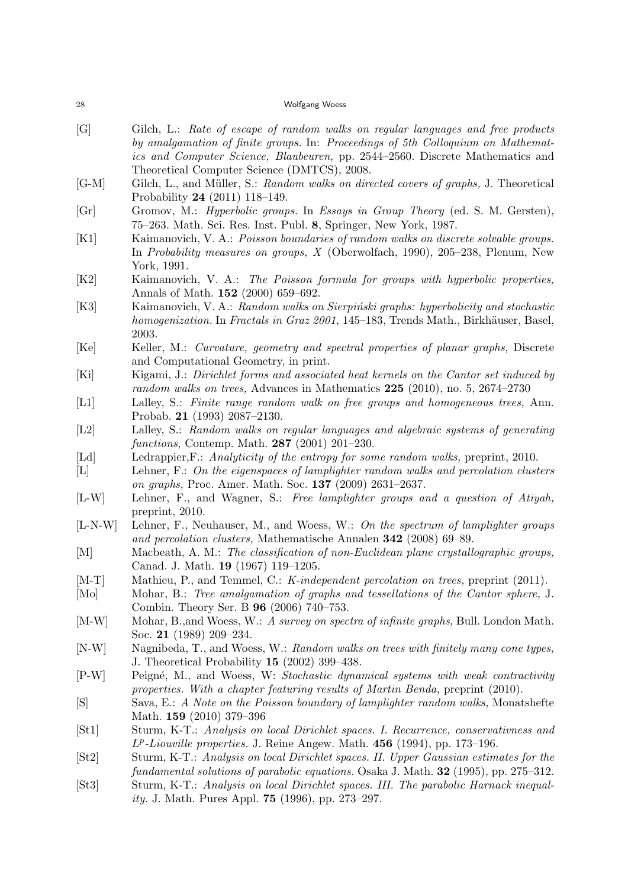| ${\bf 28}$                  | Wolfgang Woess                                                                                                                                                                                                                                        |
|-----------------------------|-------------------------------------------------------------------------------------------------------------------------------------------------------------------------------------------------------------------------------------------------------|
| [G]                         | Gilch, L.: Rate of escape of random walks on regular languages and free products<br>by amalgamation of finite groups. In: Proceedings of 5th Colloquium on Mathemat-<br>ics and Computer Science, Blaubeuren, pp. 2544–2560. Discrete Mathematics and |
| $[G-M]$                     | Theoretical Computer Science (DMTCS), 2008.<br>Gilch, L., and Müller, S.: Random walks on directed covers of graphs, J. Theoretical<br>Probability 24 $(2011)$ 118-149.                                                                               |
| $\lceil \mathrm{Gr} \rceil$ | Gromov, M.: <i>Hyperbolic groups.</i> In <i>Essays in Group Theory</i> (ed. S. M. Gersten),<br>75–263. Math. Sci. Res. Inst. Publ. 8, Springer, New York, 1987.                                                                                       |
| [K1]                        | Kaimanovich, V. A.: Poisson boundaries of random walks on discrete solvable groups.<br>In <i>Probability measures on groups, X</i> (Oberwolfach, 1990), 205–238, Plenum, New<br>York, 1991.                                                           |
| [K2]                        | Kaimanovich, V. A.: The Poisson formula for groups with hyperbolic properties,<br>Annals of Math. 152 (2000) 659-692.                                                                                                                                 |
| [K3]                        | Kaimanovich, V. A.: Random walks on Sierpiński graphs: hyperbolicity and stochastic<br>homogenization. In Fractals in Graz 2001, 145–183, Trends Math., Birkhäuser, Basel,<br>2003.                                                                   |
| [Ke]                        | Keller, M.: Curvature, geometry and spectral properties of planar graphs, Discrete<br>and Computational Geometry, in print.                                                                                                                           |
| [Ki]                        | Kigami, J.: Dirichlet forms and associated heat kernels on the Cantor set induced by<br>random walks on trees, Advances in Mathematics $225$ (2010), no. 5, 2674–2730                                                                                 |
| [L1]                        | Lalley, S.: Finite range random walk on free groups and homogeneous trees, Ann.<br>Probab. 21 (1993) 2087-2130.                                                                                                                                       |
| [L2]                        | Lalley, S.: Random walks on regular languages and algebraic systems of generating<br>functions, Contemp. Math. 287 (2001) 201-230.                                                                                                                    |
| [Ld]                        | Ledrappier, F.: Analyticity of the entropy for some random walks, preprint, 2010.                                                                                                                                                                     |
| $[{\rm L}]$                 | Lehner, F.: On the eigenspaces of lamplighter random walks and percolation clusters<br>on graphs, Proc. Amer. Math. Soc. 137 (2009) 2631-2637.                                                                                                        |
| $[L-W]$                     | Lehner, F., and Wagner, S.: Free lamplighter groups and a question of Atiyah,<br>preprint, 2010.                                                                                                                                                      |
| $[L-N-W]$                   | Lehner, F., Neuhauser, M., and Woess, W.: On the spectrum of lamplighter groups<br>and percolation clusters, Mathematische Annalen 342 (2008) 69–89.                                                                                                  |
| [M]                         | Macbeath, A. M.: The classification of non-Euclidean plane crystallographic groups,<br>Canad. J. Math. 19 (1967) 119–1205.                                                                                                                            |
| $[M-T]$                     | Mathieu, P., and Temmel, C.: K-independent percolation on trees, preprint (2011).                                                                                                                                                                     |
| [Mo]                        | Mohar, B.: Tree amalgamation of graphs and tessellations of the Cantor sphere, J.<br>Combin. Theory Ser. B 96 (2006) 740-753.                                                                                                                         |
| $[M-W]$                     | Mohar, B., and Woess, W.: A survey on spectra of infinite graphs, Bull. London Math.<br>Soc. 21 $(1989)$ 209-234.                                                                                                                                     |
| $[N-W]$                     | Nagnibeda, T., and Woess, W.: Random walks on trees with finitely many cone types,<br>J. Theoretical Probability $15$ (2002) 399–438.                                                                                                                 |
| $[P-W]$                     | Peigné, M., and Woess, W: Stochastic dynamical systems with weak contractivity<br>properties. With a chapter featuring results of Martin Benda, preprint (2010).                                                                                      |
| [S]                         | Sava, E.: A Note on the Poisson boundary of lamplighter random walks, Monatshefte<br>Math. 159 (2010) 379-396                                                                                                                                         |
| [St1]                       | Sturm, K-T.: Analysis on local Dirichlet spaces. I. Recurrence, conservativness and<br>$L^p$ -Liouville properties. J. Reine Angew. Math. 456 (1994), pp. 173–196.                                                                                    |
| [St2]                       | Sturm, K-T.: Analysis on local Dirichlet spaces. II. Upper Gaussian estimates for the<br>fundamental solutions of parabolic equations. Osaka J. Math. <b>32</b> (1995), pp. 275–312.                                                                  |
| [St3]                       | Sturm, K-T.: Analysis on local Dirichlet spaces. III. The parabolic Harnack inequal-<br><i>ity.</i> J. Math. Pures Appl. <b>75</b> (1996), pp. 273–297.                                                                                               |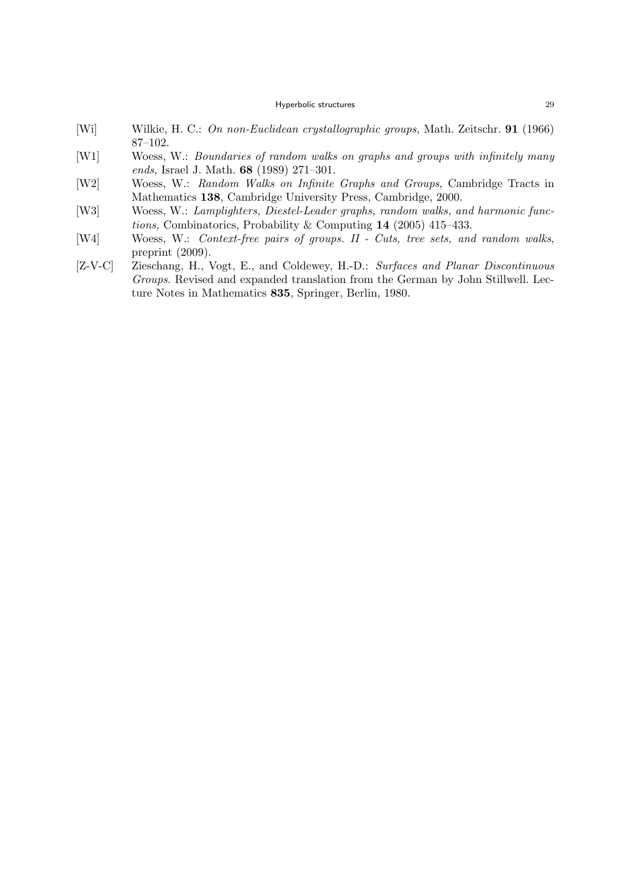- [Wi] Wilkie, H. C.: On non-Euclidean crystallographic groups, Math. Zeitschr. 91 (1966) 87–102.
- [W1] Woess, W.: Boundaries of random walks on graphs and groups with infinitely many ends, Israel J. Math. 68 (1989) 271–301.
- [W2] Woess, W.: Random Walks on Infinite Graphs and Groups, Cambridge Tracts in Mathematics 138, Cambridge University Press, Cambridge, 2000.
- [W3] Woess, W.: Lamplighters, Diestel-Leader graphs, random walks, and harmonic functions, Combinatorics, Probability & Computing 14 (2005) 415–433.
- [W4] Woess, W.: Context-free pairs of groups. II Cuts, tree sets, and random walks, preprint (2009).
- [Z-V-C] Zieschang, H., Vogt, E., and Coldewey, H.-D.: Surfaces and Planar Discontinuous Groups. Revised and expanded translation from the German by John Stillwell. Lecture Notes in Mathematics 835, Springer, Berlin, 1980.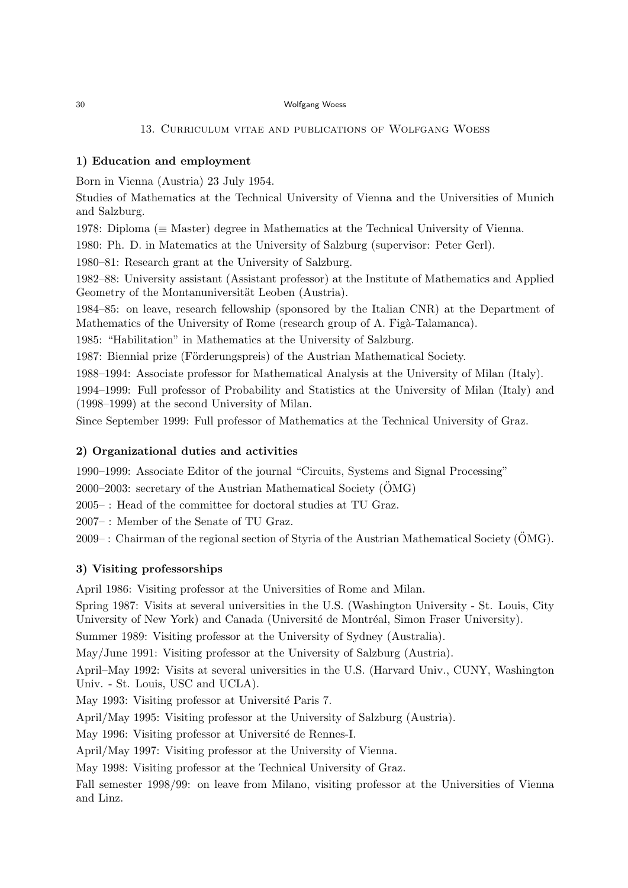# 13. Curriculum vitae and publications of Wolfgang Woess

# 1) Education and employment

Born in Vienna (Austria) 23 July 1954.

Studies of Mathematics at the Technical University of Vienna and the Universities of Munich and Salzburg.

1978: Diploma (≡ Master) degree in Mathematics at the Technical University of Vienna.

1980: Ph. D. in Matematics at the University of Salzburg (supervisor: Peter Gerl).

1980–81: Research grant at the University of Salzburg.

1982–88: University assistant (Assistant professor) at the Institute of Mathematics and Applied Geometry of the Montanuniversität Leoben (Austria).

1984–85: on leave, research fellowship (sponsored by the Italian CNR) at the Department of Mathematics of the University of Rome (research group of A. Figà-Talamanca).

1985: "Habilitation" in Mathematics at the University of Salzburg.

1987: Biennial prize (Förderungspreis) of the Austrian Mathematical Society.

1988–1994: Associate professor for Mathematical Analysis at the University of Milan (Italy).

1994–1999: Full professor of Probability and Statistics at the University of Milan (Italy) and (1998–1999) at the second University of Milan.

Since September 1999: Full professor of Mathematics at the Technical University of Graz.

### 2) Organizational duties and activities

1990–1999: Associate Editor of the journal "Circuits, Systems and Signal Processing"

 $2000-2003$ : secretary of the Austrian Mathematical Society (OMG)

2005– : Head of the committee for doctoral studies at TU Graz.

2007– : Member of the Senate of TU Graz.

 $2009$ –: Chairman of the regional section of Styria of the Austrian Mathematical Society ( $\overline{\text{OMG}}$ ).

# 3) Visiting professorships

April 1986: Visiting professor at the Universities of Rome and Milan.

Spring 1987: Visits at several universities in the U.S. (Washington University - St. Louis, City University of New York) and Canada (Université de Montréal, Simon Fraser University).

Summer 1989: Visiting professor at the University of Sydney (Australia).

May/June 1991: Visiting professor at the University of Salzburg (Austria).

April–May 1992: Visits at several universities in the U.S. (Harvard Univ., CUNY, Washington Univ. - St. Louis, USC and UCLA).

May 1993: Visiting professor at Université Paris 7.

April/May 1995: Visiting professor at the University of Salzburg (Austria).

May 1996: Visiting professor at Université de Rennes-I.

April/May 1997: Visiting professor at the University of Vienna.

May 1998: Visiting professor at the Technical University of Graz.

Fall semester 1998/99: on leave from Milano, visiting professor at the Universities of Vienna and Linz.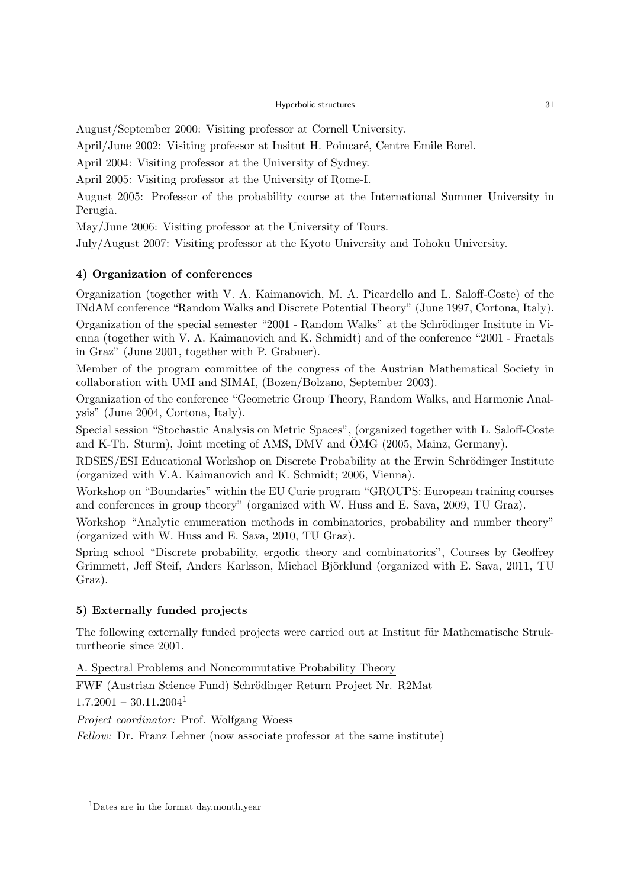August/September 2000: Visiting professor at Cornell University.

April/June 2002: Visiting professor at Insitut H. Poincaré, Centre Emile Borel.

April 2004: Visiting professor at the University of Sydney.

April 2005: Visiting professor at the University of Rome-I.

August 2005: Professor of the probability course at the International Summer University in Perugia.

May/June 2006: Visiting professor at the University of Tours.

July/August 2007: Visiting professor at the Kyoto University and Tohoku University.

# 4) Organization of conferences

Organization (together with V. A. Kaimanovich, M. A. Picardello and L. Saloff-Coste) of the INdAM conference "Random Walks and Discrete Potential Theory" (June 1997, Cortona, Italy). Organization of the special semester "2001 - Random Walks" at the Schrödinger Insitute in Vienna (together with V. A. Kaimanovich and K. Schmidt) and of the conference "2001 - Fractals in Graz" (June 2001, together with P. Grabner).

Member of the program committee of the congress of the Austrian Mathematical Society in collaboration with UMI and SIMAI, (Bozen/Bolzano, September 2003).

Organization of the conference "Geometric Group Theory, Random Walks, and Harmonic Analysis" (June 2004, Cortona, Italy).

Special session "Stochastic Analysis on Metric Spaces", (organized together with L. Saloff-Coste and K-Th. Sturm), Joint meeting of AMS, DMV and OMG (2005, Mainz, Germany).

RDSES/ESI Educational Workshop on Discrete Probability at the Erwin Schrödinger Institute (organized with V.A. Kaimanovich and K. Schmidt; 2006, Vienna).

Workshop on "Boundaries" within the EU Curie program "GROUPS: European training courses and conferences in group theory" (organized with W. Huss and E. Sava, 2009, TU Graz).

Workshop "Analytic enumeration methods in combinatorics, probability and number theory" (organized with W. Huss and E. Sava, 2010, TU Graz).

Spring school "Discrete probability, ergodic theory and combinatorics", Courses by Geoffrey Grimmett, Jeff Steif, Anders Karlsson, Michael Björklund (organized with E. Sava, 2011, TU Graz).

# 5) Externally funded projects

The following externally funded projects were carried out at Institut für Mathematische Strukturtheorie since 2001.

A. Spectral Problems and Noncommutative Probability Theory

FWF (Austrian Science Fund) Schrödinger Return Project Nr. R2Mat  $1.7.2001 - 30.11.2004<sup>1</sup>$ 

Project coordinator: Prof. Wolfgang Woess

Fellow: Dr. Franz Lehner (now associate professor at the same institute)

<sup>1</sup>Dates are in the format day.month.year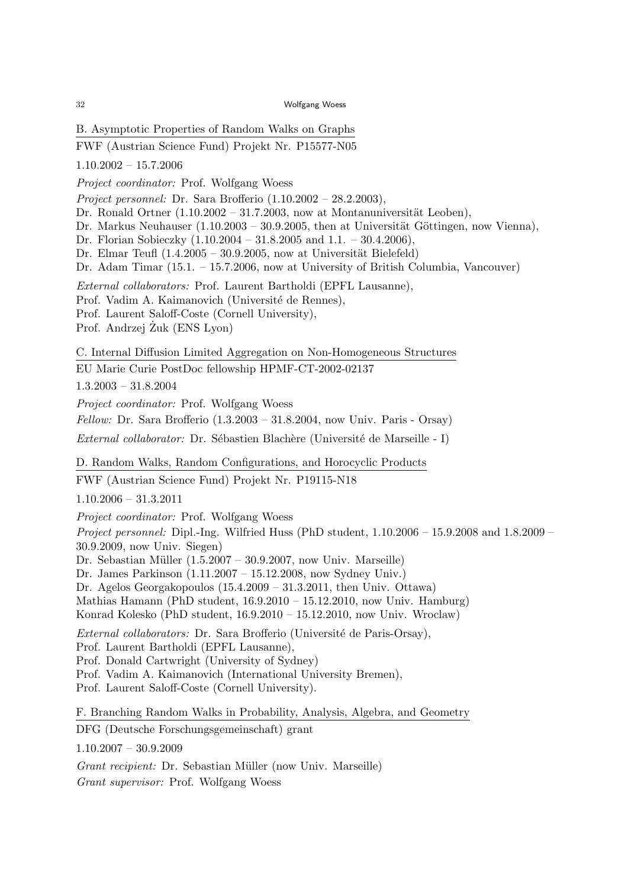B. Asymptotic Properties of Random Walks on Graphs

FWF (Austrian Science Fund) Projekt Nr. P15577-N05

1.10.2002 – 15.7.2006

Project coordinator: Prof. Wolfgang Woess

Project personnel: Dr. Sara Brofferio  $(1.10.2002 - 28.2.2003)$ ,

Dr. Ronald Ortner  $(1.10.2002 - 31.7.2003)$ , now at Montanuniversität Leoben),

Dr. Markus Neuhauser  $(1.10.2003 - 30.9.2005$ , then at Universität Göttingen, now Vienna),

Dr. Florian Sobieczky (1.10.2004 – 31.8.2005 and 1.1. – 30.4.2006),

Dr. Elmar Teufl  $(1.4.2005 - 30.9.2005$ , now at Universität Bielefeld)

Dr. Adam Timar (15.1. – 15.7.2006, now at University of British Columbia, Vancouver)

External collaborators: Prof. Laurent Bartholdi (EPFL Lausanne),

Prof. Vadim A. Kaimanovich (Université de Rennes),

Prof. Laurent Saloff-Coste (Cornell University),

Prof. Andrzej Żuk (ENS Lyon)

C. Internal Diffusion Limited Aggregation on Non-Homogeneous Structures

EU Marie Curie PostDoc fellowship HPMF-CT-2002-02137

1.3.2003 – 31.8.2004

Project coordinator: Prof. Wolfgang Woess

 $Fellow:$  Dr. Sara Brofferio  $(1.3.2003 - 31.8.2004,$  now Univ. Paris - Orsay)

External collaborator: Dr. Sébastien Blachère (Université de Marseille - I)

D. Random Walks, Random Configurations, and Horocyclic Products

FWF (Austrian Science Fund) Projekt Nr. P19115-N18

1.10.2006 – 31.3.2011

Project coordinator: Prof. Wolfgang Woess

*Project personnel:* Dipl.-Ing. Wilfried Huss (PhD student,  $1.10.2006 - 15.9.2008$  and  $1.8.2009 - 1.02006$ 30.9.2009, now Univ. Siegen)

Dr. Sebastian Müller  $(1.5.2007 - 30.9.2007, now Univ. Marseille)$ 

Dr. James Parkinson (1.11.2007 – 15.12.2008, now Sydney Univ.)

Dr. Agelos Georgakopoulos (15.4.2009 – 31.3.2011, then Univ. Ottawa)

Mathias Hamann (PhD student, 16.9.2010 – 15.12.2010, now Univ. Hamburg)

Konrad Kolesko (PhD student, 16.9.2010 – 15.12.2010, now Univ. Wroclaw)

External collaborators: Dr. Sara Brofferio (Université de Paris-Orsay),

Prof. Laurent Bartholdi (EPFL Lausanne),

Prof. Donald Cartwright (University of Sydney)

Prof. Vadim A. Kaimanovich (International University Bremen),

Prof. Laurent Saloff-Coste (Cornell University).

F. Branching Random Walks in Probability, Analysis, Algebra, and Geometry

DFG (Deutsche Forschungsgemeinschaft) grant

1.10.2007 – 30.9.2009

Grant recipient: Dr. Sebastian Müller (now Univ. Marseille)

Grant supervisor: Prof. Wolfgang Woess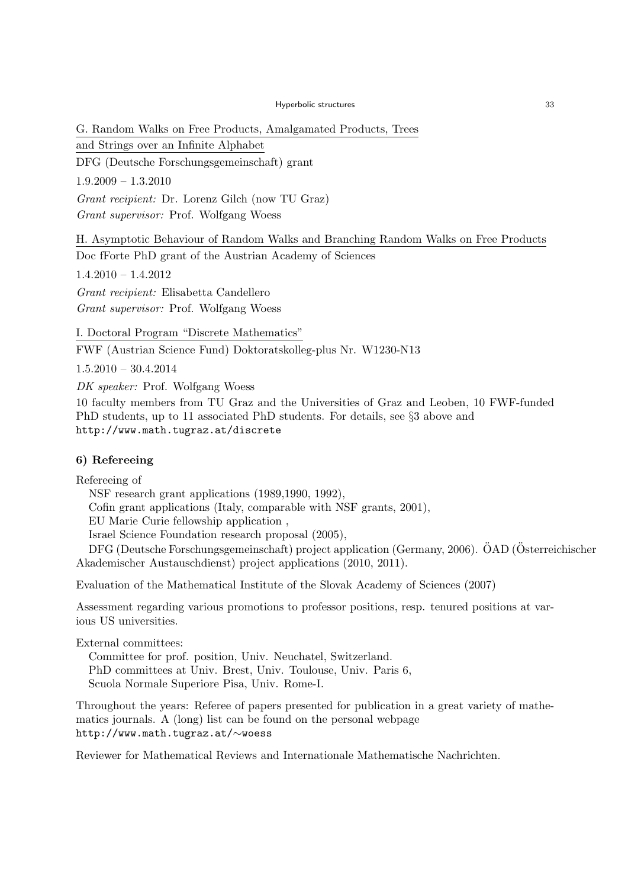G. Random Walks on Free Products, Amalgamated Products, Trees

and Strings over an Infinite Alphabet

DFG (Deutsche Forschungsgemeinschaft) grant

1.9.2009 – 1.3.2010

Grant recipient: Dr. Lorenz Gilch (now TU Graz) Grant supervisor: Prof. Wolfgang Woess

H. Asymptotic Behaviour of Random Walks and Branching Random Walks on Free Products

Doc fForte PhD grant of the Austrian Academy of Sciences

1.4.2010 – 1.4.2012

Grant recipient: Elisabetta Candellero Grant supervisor: Prof. Wolfgang Woess

I. Doctoral Program "Discrete Mathematics"

FWF (Austrian Science Fund) Doktoratskolleg-plus Nr. W1230-N13

1.5.2010 – 30.4.2014

DK speaker: Prof. Wolfgang Woess

10 faculty members from TU Graz and the Universities of Graz and Leoben, 10 FWF-funded PhD students, up to 11 associated PhD students. For details, see §3 above and http://www.math.tugraz.at/discrete

# 6) Refereeing

Refereeing of

NSF research grant applications (1989,1990, 1992), Cofin grant applications (Italy, comparable with NSF grants, 2001), EU Marie Curie fellowship application , Israel Science Foundation research proposal (2005),

DFG (Deutsche Forschungsgemeinschaft) project application (Germany, 2006). ÖAD (Österreichischer Akademischer Austauschdienst) project applications (2010, 2011).

Evaluation of the Mathematical Institute of the Slovak Academy of Sciences (2007)

Assessment regarding various promotions to professor positions, resp. tenured positions at various US universities.

External committees:

Committee for prof. position, Univ. Neuchatel, Switzerland. PhD committees at Univ. Brest, Univ. Toulouse, Univ. Paris 6, Scuola Normale Superiore Pisa, Univ. Rome-I.

Throughout the years: Referee of papers presented for publication in a great variety of mathematics journals. A (long) list can be found on the personal webpage http://www.math.tugraz.at/∼woess

Reviewer for Mathematical Reviews and Internationale Mathematische Nachrichten.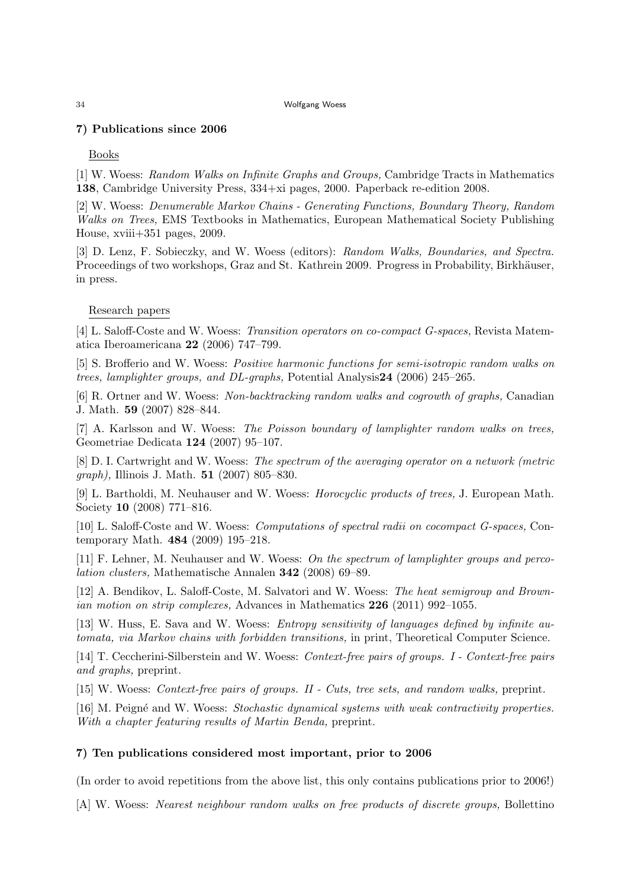# 7) Publications since 2006

Books

[1] W. Woess: Random Walks on Infinite Graphs and Groups, Cambridge Tracts in Mathematics 138, Cambridge University Press, 334+xi pages, 2000. Paperback re-edition 2008.

[2] W. Woess: Denumerable Markov Chains - Generating Functions, Boundary Theory, Random Walks on Trees, EMS Textbooks in Mathematics, European Mathematical Society Publishing House, xviii+351 pages, 2009.

[3] D. Lenz, F. Sobieczky, and W. Woess (editors): Random Walks, Boundaries, and Spectra. Proceedings of two workshops, Graz and St. Kathrein 2009. Progress in Probability, Birkhäuser, in press.

# Research papers

[4] L. Saloff-Coste and W. Woess: Transition operators on co-compact G-spaces, Revista Matematica Iberoamericana 22 (2006) 747–799.

[5] S. Brofferio and W. Woess: Positive harmonic functions for semi-isotropic random walks on trees, lamplighter groups, and DL-graphs, Potential Analysis24 (2006) 245–265.

[6] R. Ortner and W. Woess: Non-backtracking random walks and cogrowth of graphs, Canadian J. Math. 59 (2007) 828–844.

[7] A. Karlsson and W. Woess: The Poisson boundary of lamplighter random walks on trees, Geometriae Dedicata 124 (2007) 95–107.

[8] D. I. Cartwright and W. Woess: The spectrum of the averaging operator on a network (metric graph), Illinois J. Math. 51 (2007) 805–830.

[9] L. Bartholdi, M. Neuhauser and W. Woess: Horocyclic products of trees, J. European Math. Society 10 (2008) 771–816.

[10] L. Saloff-Coste and W. Woess: Computations of spectral radii on cocompact G-spaces, Contemporary Math. 484 (2009) 195–218.

[11] F. Lehner, M. Neuhauser and W. Woess: On the spectrum of lamplighter groups and percolation clusters, Mathematische Annalen 342 (2008) 69–89.

[12] A. Bendikov, L. Saloff-Coste, M. Salvatori and W. Woess: The heat semigroup and Brownian motion on strip complexes, Advances in Mathematics 226 (2011) 992–1055.

[13] W. Huss, E. Sava and W. Woess: Entropy sensitivity of languages defined by infinite automata, via Markov chains with forbidden transitions, in print, Theoretical Computer Science.

[14] T. Ceccherini-Silberstein and W. Woess: Context-free pairs of groups. I - Context-free pairs and graphs, preprint.

[15] W. Woess: Context-free pairs of groups. II - Cuts, tree sets, and random walks, preprint.

[16] M. Peigné and W. Woess: Stochastic dynamical systems with weak contractivity properties. With a chapter featuring results of Martin Benda, preprint.

# 7) Ten publications considered most important, prior to 2006

(In order to avoid repetitions from the above list, this only contains publications prior to 2006!)

[A] W. Woess: Nearest neighbour random walks on free products of discrete groups, Bollettino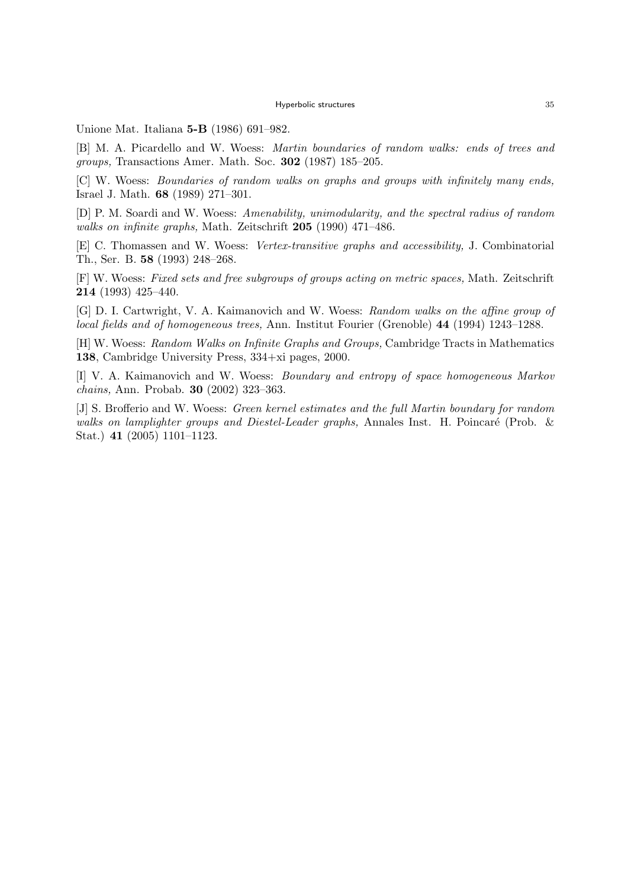Unione Mat. Italiana 5-B (1986) 691–982.

[B] M. A. Picardello and W. Woess: Martin boundaries of random walks: ends of trees and groups, Transactions Amer. Math. Soc. 302 (1987) 185–205.

[C] W. Woess: Boundaries of random walks on graphs and groups with infinitely many ends, Israel J. Math. 68 (1989) 271–301.

[D] P. M. Soardi and W. Woess: Amenability, unimodularity, and the spectral radius of random walks on infinite graphs, Math. Zeitschrift 205 (1990) 471–486.

[E] C. Thomassen and W. Woess: Vertex-transitive graphs and accessibility, J. Combinatorial Th., Ser. B. 58 (1993) 248–268.

[F] W. Woess: Fixed sets and free subgroups of groups acting on metric spaces, Math. Zeitschrift 214 (1993) 425–440.

[G] D. I. Cartwright, V. A. Kaimanovich and W. Woess: Random walks on the affine group of local fields and of homogeneous trees, Ann. Institut Fourier (Grenoble) 44 (1994) 1243–1288.

[H] W. Woess: Random Walks on Infinite Graphs and Groups, Cambridge Tracts in Mathematics 138, Cambridge University Press, 334+xi pages, 2000.

[I] V. A. Kaimanovich and W. Woess: Boundary and entropy of space homogeneous Markov chains, Ann. Probab. 30 (2002) 323–363.

[J] S. Brofferio and W. Woess: Green kernel estimates and the full Martin boundary for random walks on lamplighter groups and Diestel-Leader graphs, Annales Inst. H. Poincaré (Prob.  $\&$ Stat.) 41 (2005) 1101–1123.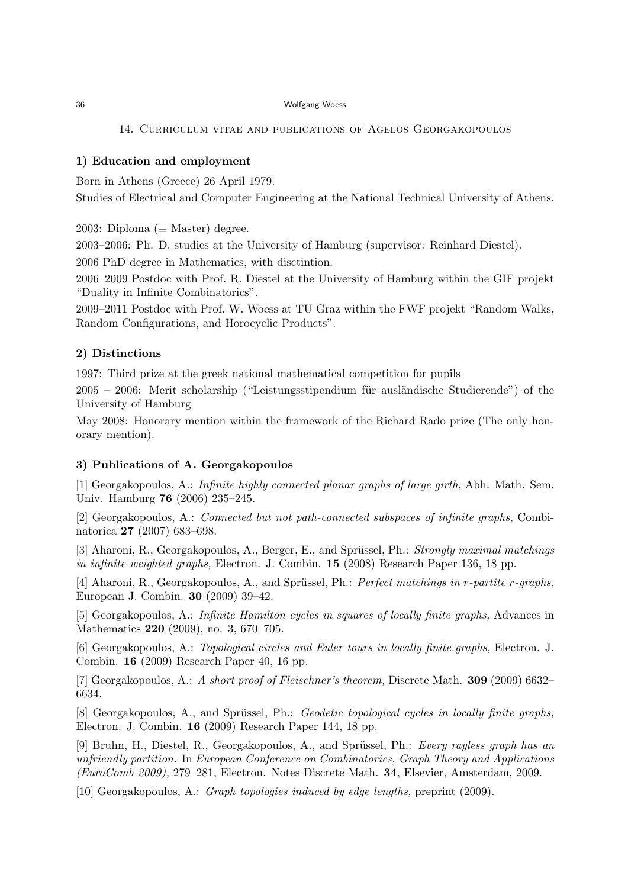### 14. Curriculum vitae and publications of Agelos Georgakopoulos

### 1) Education and employment

Born in Athens (Greece) 26 April 1979.

Studies of Electrical and Computer Engineering at the National Technical University of Athens.

2003: Diploma ( $\equiv$  Master) degree.

2003–2006: Ph. D. studies at the University of Hamburg (supervisor: Reinhard Diestel).

2006 PhD degree in Mathematics, with disctintion.

2006–2009 Postdoc with Prof. R. Diestel at the University of Hamburg within the GIF projekt "Duality in Infinite Combinatorics".

2009–2011 Postdoc with Prof. W. Woess at TU Graz within the FWF projekt "Random Walks, Random Configurations, and Horocyclic Products".

### 2) Distinctions

1997: Third prize at the greek national mathematical competition for pupils

 $2005 - 2006$ : Merit scholarship ("Leistungsstipendium für ausländische Studierende") of the University of Hamburg

May 2008: Honorary mention within the framework of the Richard Rado prize (The only honorary mention).

### 3) Publications of A. Georgakopoulos

[1] Georgakopoulos, A.: Infinite highly connected planar graphs of large girth, Abh. Math. Sem. Univ. Hamburg 76 (2006) 235–245.

[2] Georgakopoulos, A.: Connected but not path-connected subspaces of infinite graphs, Combinatorica 27 (2007) 683–698.

[3] Aharoni, R., Georgakopoulos, A., Berger, E., and Sprüssel, Ph.: Strongly maximal matchings in infinite weighted graphs, Electron. J. Combin. 15 (2008) Research Paper 136, 18 pp.

[4] Aharoni, R., Georgakopoulos, A., and Sprüssel, Ph.: *Perfect matchings in r-partite r-graphs*, European J. Combin. 30 (2009) 39–42.

[5] Georgakopoulos, A.: Infinite Hamilton cycles in squares of locally finite graphs, Advances in Mathematics 220 (2009), no. 3, 670–705.

[6] Georgakopoulos, A.: Topological circles and Euler tours in locally finite graphs, Electron. J. Combin. 16 (2009) Research Paper 40, 16 pp.

[7] Georgakopoulos, A.: A short proof of Fleischner's theorem, Discrete Math. 309 (2009) 6632– 6634.

[8] Georgakopoulos, A., and Sprüssel, Ph.: *Geodetic topological cycles in locally finite graphs*. Electron. J. Combin. 16 (2009) Research Paper 144, 18 pp.

[9] Bruhn, H., Diestel, R., Georgakopoulos, A., and Sprüssel, Ph.: Every rayless graph has an unfriendly partition. In European Conference on Combinatorics, Graph Theory and Applications (EuroComb 2009), 279–281, Electron. Notes Discrete Math. 34, Elsevier, Amsterdam, 2009.

[10] Georgakopoulos, A.: Graph topologies induced by edge lengths, preprint (2009).